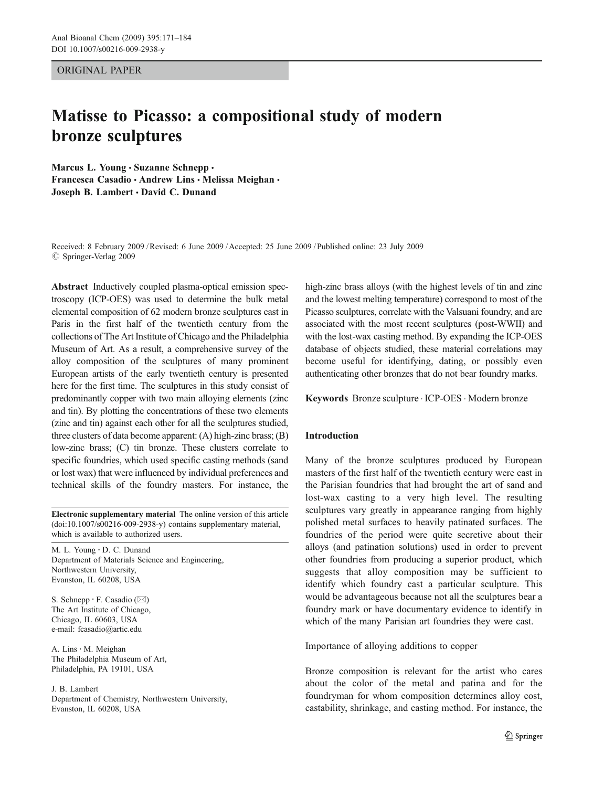ORIGINAL PAPER

# Matisse to Picasso: a compositional study of modern bronze sculptures

Marcus L. Young · Suzanne Schnepp · Francesca Casadio · Andrew Lins · Melissa Meighan · Joseph B. Lambert · David C. Dunand

Received: 8 February 2009 /Revised: 6 June 2009 /Accepted: 25 June 2009 / Published online: 23 July 2009  $\circ$  Springer-Verlag 2009

Abstract Inductively coupled plasma-optical emission spectroscopy (ICP-OES) was used to determine the bulk metal elemental composition of 62 modern bronze sculptures cast in Paris in the first half of the twentieth century from the collections of The Art Institute of Chicago and the Philadelphia Museum of Art. As a result, a comprehensive survey of the alloy composition of the sculptures of many prominent European artists of the early twentieth century is presented here for the first time. The sculptures in this study consist of predominantly copper with two main alloying elements (zinc and tin). By plotting the concentrations of these two elements (zinc and tin) against each other for all the sculptures studied, three clusters of data become apparent: (A) high-zinc brass; (B) low-zinc brass; (C) tin bronze. These clusters correlate to specific foundries, which used specific casting methods (sand or lost wax) that were influenced by individual preferences and technical skills of the foundry masters. For instance, the

Electronic supplementary material The online version of this article (doi[:10.1007/s00216-009-2938-y\)](http://dx.doi.org/10.1007/s00216-009-2938-y) contains supplementary material, which is available to authorized users.

M. L. Young : D. C. Dunand Department of Materials Science and Engineering, Northwestern University, Evanston, IL 60208, USA

S. Schnepp : F. Casadio (*\**) The Art Institute of Chicago, Chicago, IL 60603, USA e-mail: fcasadio@artic.edu

A. Lins · M. Meighan The Philadelphia Museum of Art, Philadelphia, PA 19101, USA

J. B. Lambert

Department of Chemistry, Northwestern University, Evanston, IL 60208, USA

high-zinc brass alloys (with the highest levels of tin and zinc and the lowest melting temperature) correspond to most of the Picasso sculptures, correlate with the Valsuani foundry, and are associated with the most recent sculptures (post-WWII) and with the lost-wax casting method. By expanding the ICP-OES database of objects studied, these material correlations may become useful for identifying, dating, or possibly even authenticating other bronzes that do not bear foundry marks.

Keywords Bronze sculpture . ICP-OES . Modern bronze

## Introduction

Many of the bronze sculptures produced by European masters of the first half of the twentieth century were cast in the Parisian foundries that had brought the art of sand and lost-wax casting to a very high level. The resulting sculptures vary greatly in appearance ranging from highly polished metal surfaces to heavily patinated surfaces. The foundries of the period were quite secretive about their alloys (and patination solutions) used in order to prevent other foundries from producing a superior product, which suggests that alloy composition may be sufficient to identify which foundry cast a particular sculpture. This would be advantageous because not all the sculptures bear a foundry mark or have documentary evidence to identify in which of the many Parisian art foundries they were cast.

Importance of alloying additions to copper

Bronze composition is relevant for the artist who cares about the color of the metal and patina and for the foundryman for whom composition determines alloy cost, castability, shrinkage, and casting method. For instance, the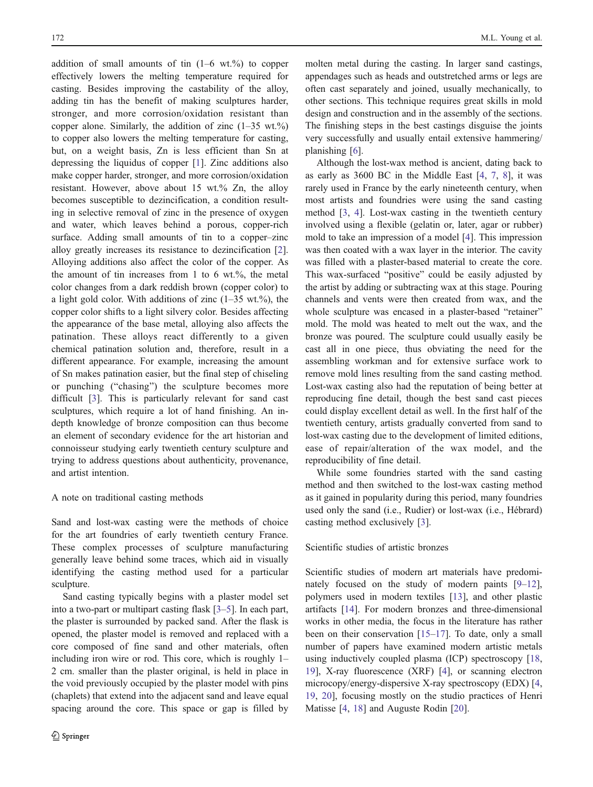addition of small amounts of tin  $(1-6 \text{ wt.})$ % to copper effectively lowers the melting temperature required for casting. Besides improving the castability of the alloy, adding tin has the benefit of making sculptures harder, stronger, and more corrosion/oxidation resistant than copper alone. Similarly, the addition of zinc  $(1-35 \text{ wt.})\%$ to copper also lowers the melting temperature for casting, but, on a weight basis, Zn is less efficient than Sn at depressing the liquidus of copper [[1\]](#page-13-0). Zinc additions also make copper harder, stronger, and more corrosion/oxidation resistant. However, above about 15 wt.% Zn, the alloy becomes susceptible to dezincification, a condition resulting in selective removal of zinc in the presence of oxygen and water, which leaves behind a porous, copper-rich surface. Adding small amounts of tin to a copper–zinc alloy greatly increases its resistance to dezincification [\[2](#page-13-0)]. Alloying additions also affect the color of the copper. As the amount of tin increases from 1 to 6 wt. $\%$ , the metal color changes from a dark reddish brown (copper color) to a light gold color. With additions of zinc  $(1-35 \text{ wt.})\%$ , the copper color shifts to a light silvery color. Besides affecting the appearance of the base metal, alloying also affects the patination. These alloys react differently to a given chemical patination solution and, therefore, result in a different appearance. For example, increasing the amount of Sn makes patination easier, but the final step of chiseling or punching ("chasing") the sculpture becomes more difficult [\[3](#page-13-0)]. This is particularly relevant for sand cast sculptures, which require a lot of hand finishing. An indepth knowledge of bronze composition can thus become an element of secondary evidence for the art historian and connoisseur studying early twentieth century sculpture and trying to address questions about authenticity, provenance, and artist intention.

## A note on traditional casting methods

Sand and lost-wax casting were the methods of choice for the art foundries of early twentieth century France. These complex processes of sculpture manufacturing generally leave behind some traces, which aid in visually identifying the casting method used for a particular sculpture.

Sand casting typically begins with a plaster model set into a two-part or multipart casting flask [\[3](#page-13-0)–[5](#page-13-0)]. In each part, the plaster is surrounded by packed sand. After the flask is opened, the plaster model is removed and replaced with a core composed of fine sand and other materials, often including iron wire or rod. This core, which is roughly 1– 2 cm. smaller than the plaster original, is held in place in the void previously occupied by the plaster model with pins (chaplets) that extend into the adjacent sand and leave equal spacing around the core. This space or gap is filled by

molten metal during the casting. In larger sand castings, appendages such as heads and outstretched arms or legs are often cast separately and joined, usually mechanically, to other sections. This technique requires great skills in mold design and construction and in the assembly of the sections. The finishing steps in the best castings disguise the joints very successfully and usually entail extensive hammering/ planishing [[6\]](#page-13-0).

Although the lost-wax method is ancient, dating back to as early as 3600 BC in the Middle East [[4,](#page-13-0) [7](#page-13-0), [8](#page-13-0)], it was rarely used in France by the early nineteenth century, when most artists and foundries were using the sand casting method [\[3](#page-13-0), [4](#page-13-0)]. Lost-wax casting in the twentieth century involved using a flexible (gelatin or, later, agar or rubber) mold to take an impression of a model [[4\]](#page-13-0). This impression was then coated with a wax layer in the interior. The cavity was filled with a plaster-based material to create the core. This wax-surfaced "positive" could be easily adjusted by the artist by adding or subtracting wax at this stage. Pouring channels and vents were then created from wax, and the whole sculpture was encased in a plaster-based "retainer" mold. The mold was heated to melt out the wax, and the bronze was poured. The sculpture could usually easily be cast all in one piece, thus obviating the need for the assembling workman and for extensive surface work to remove mold lines resulting from the sand casting method. Lost-wax casting also had the reputation of being better at reproducing fine detail, though the best sand cast pieces could display excellent detail as well. In the first half of the twentieth century, artists gradually converted from sand to lost-wax casting due to the development of limited editions, ease of repair/alteration of the wax model, and the reproducibility of fine detail.

While some foundries started with the sand casting method and then switched to the lost-wax casting method as it gained in popularity during this period, many foundries used only the sand (i.e., Rudier) or lost-wax (i.e., Hébrard) casting method exclusively [[3\]](#page-13-0).

## Scientific studies of artistic bronzes

Scientific studies of modern art materials have predominately focused on the study of modern paints [\[9](#page-13-0)–[12](#page-13-0)], polymers used in modern textiles [[13\]](#page-13-0), and other plastic artifacts [\[14](#page-13-0)]. For modern bronzes and three-dimensional works in other media, the focus in the literature has rather been on their conservation [[15](#page-13-0)–[17](#page-13-0)]. To date, only a small number of papers have examined modern artistic metals using inductively coupled plasma (ICP) spectroscopy [\[18](#page-13-0), [19\]](#page-13-0), X-ray fluorescence (XRF) [\[4](#page-13-0)], or scanning electron microcopy/energy-dispersive X-ray spectroscopy (EDX) [\[4](#page-13-0), [19,](#page-13-0) [20](#page-13-0)], focusing mostly on the studio practices of Henri Matisse [[4,](#page-13-0) [18\]](#page-13-0) and Auguste Rodin [\[20](#page-13-0)].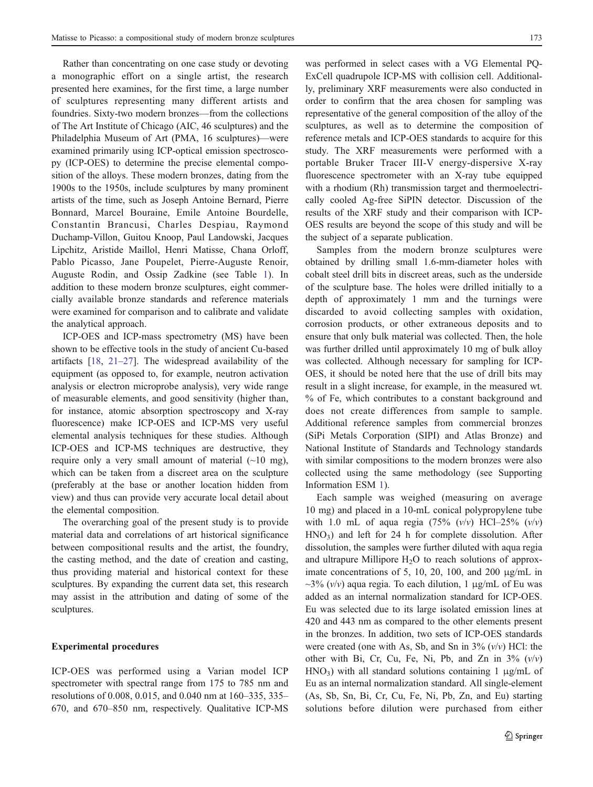Rather than concentrating on one case study or devoting a monographic effort on a single artist, the research presented here examines, for the first time, a large number of sculptures representing many different artists and foundries. Sixty-two modern bronzes—from the collections of The Art Institute of Chicago (AIC, 46 sculptures) and the Philadelphia Museum of Art (PMA, 16 sculptures)—were examined primarily using ICP-optical emission spectroscopy (ICP-OES) to determine the precise elemental composition of the alloys. These modern bronzes, dating from the 1900s to the 1950s, include sculptures by many prominent artists of the time, such as Joseph Antoine Bernard, Pierre Bonnard, Marcel Bouraine, Emile Antoine Bourdelle, Constantin Brancusi, Charles Despiau, Raymond Duchamp-Villon, Guitou Knoop, Paul Landowski, Jacques Lipchitz, Aristide Maillol, Henri Matisse, Chana Orloff, Pablo Picasso, Jane Poupelet, Pierre-Auguste Renoir, Auguste Rodin, and Ossip Zadkine (see Table [1](#page-3-0)). In addition to these modern bronze sculptures, eight commercially available bronze standards and reference materials were examined for comparison and to calibrate and validate the analytical approach.

ICP-OES and ICP-mass spectrometry (MS) have been shown to be effective tools in the study of ancient Cu-based artifacts [\[18](#page-13-0), [21](#page-13-0)–[27\]](#page-13-0). The widespread availability of the equipment (as opposed to, for example, neutron activation analysis or electron microprobe analysis), very wide range of measurable elements, and good sensitivity (higher than, for instance, atomic absorption spectroscopy and X-ray fluorescence) make ICP-OES and ICP-MS very useful elemental analysis techniques for these studies. Although ICP-OES and ICP-MS techniques are destructive, they require only a very small amount of material  $(\sim 10 \text{ mg})$ , which can be taken from a discreet area on the sculpture (preferably at the base or another location hidden from view) and thus can provide very accurate local detail about the elemental composition.

The overarching goal of the present study is to provide material data and correlations of art historical significance between compositional results and the artist, the foundry, the casting method, and the date of creation and casting, thus providing material and historical context for these sculptures. By expanding the current data set, this research may assist in the attribution and dating of some of the sculptures.

### Experimental procedures

ICP-OES was performed using a Varian model ICP spectrometer with spectral range from 175 to 785 nm and resolutions of 0.008, 0.015, and 0.040 nm at 160–335, 335– 670, and 670–850 nm, respectively. Qualitative ICP-MS was performed in select cases with a VG Elemental PQ-ExCell quadrupole ICP-MS with collision cell. Additionally, preliminary XRF measurements were also conducted in order to confirm that the area chosen for sampling was representative of the general composition of the alloy of the sculptures, as well as to determine the composition of reference metals and ICP-OES standards to acquire for this study. The XRF measurements were performed with a portable Bruker Tracer III-V energy-dispersive X-ray fluorescence spectrometer with an X-ray tube equipped with a rhodium (Rh) transmission target and thermoelectrically cooled Ag-free SiPIN detector. Discussion of the results of the XRF study and their comparison with ICP-OES results are beyond the scope of this study and will be the subject of a separate publication.

Samples from the modern bronze sculptures were obtained by drilling small 1.6-mm-diameter holes with cobalt steel drill bits in discreet areas, such as the underside of the sculpture base. The holes were drilled initially to a depth of approximately 1 mm and the turnings were discarded to avoid collecting samples with oxidation, corrosion products, or other extraneous deposits and to ensure that only bulk material was collected. Then, the hole was further drilled until approximately 10 mg of bulk alloy was collected. Although necessary for sampling for ICP-OES, it should be noted here that the use of drill bits may result in a slight increase, for example, in the measured wt. % of Fe, which contributes to a constant background and does not create differences from sample to sample. Additional reference samples from commercial bronzes (SiPi Metals Corporation (SIPI) and Atlas Bronze) and National Institute of Standards and Technology standards with similar compositions to the modern bronzes were also collected using the same methodology (see Supporting Information ESM 1).

Each sample was weighed (measuring on average 10 mg) and placed in a 10-mL conical polypropylene tube with 1.0 mL of aqua regia (75%  $(v/v)$  HCl–25%  $(v/v)$ )  $HNO<sub>3</sub>$ ) and left for 24 h for complete dissolution. After dissolution, the samples were further diluted with aqua regia and ultrapure Millipore  $H_2O$  to reach solutions of approximate concentrations of 5, 10, 20, 100, and 200  $\mu$ g/mL in  $\sim$ 3% (v/v) aqua regia. To each dilution, 1 μg/mL of Eu was added as an internal normalization standard for ICP-OES. Eu was selected due to its large isolated emission lines at 420 and 443 nm as compared to the other elements present in the bronzes. In addition, two sets of ICP-OES standards were created (one with As, Sb, and Sn in  $3\%$  ( $v/v$ ) HCl: the other with Bi, Cr, Cu, Fe, Ni, Pb, and Zn in  $3\%$  (v/v) HNO<sub>3</sub>) with all standard solutions containing 1  $\mu$ g/mL of Eu as an internal normalization standard. All single-element (As, Sb, Sn, Bi, Cr, Cu, Fe, Ni, Pb, Zn, and Eu) starting solutions before dilution were purchased from either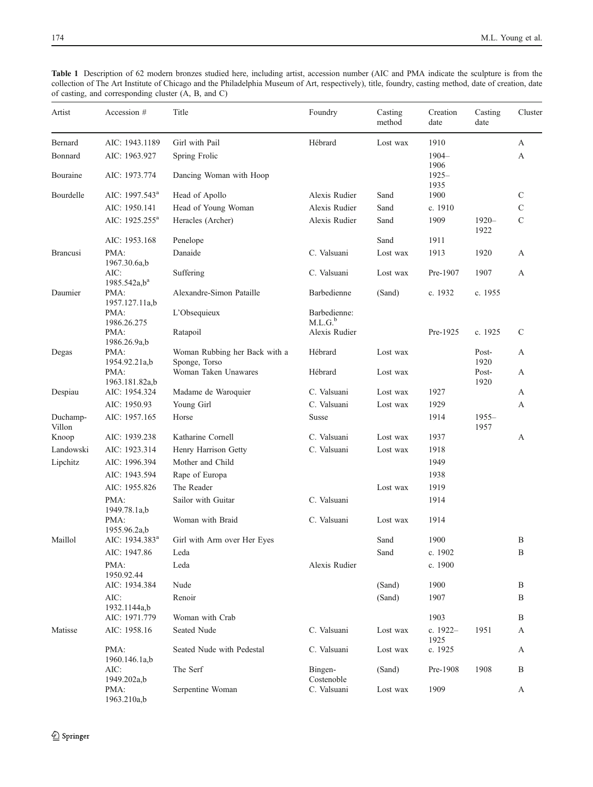<span id="page-3-0"></span>

| Table 1 Description of 62 modern bronzes studied here, including artist, accession number (AIC and PMA indicate the sculpture is from the            |
|------------------------------------------------------------------------------------------------------------------------------------------------------|
| collection of The Art Institute of Chicago and the Philadelphia Museum of Art, respectively), title, foundry, casting method, date of creation, date |
| of casting, and corresponding cluster (A, B, and C)                                                                                                  |

| Artist             | Accession #                      | Title                                          | Foundry                             | Casting<br>method | Creation<br>date   | Casting<br>date  | Cluster       |
|--------------------|----------------------------------|------------------------------------------------|-------------------------------------|-------------------|--------------------|------------------|---------------|
| Bernard            | AIC: 1943.1189                   | Girl with Pail                                 | Hébrard                             | Lost wax          | 1910               |                  | A             |
| Bonnard            | AIC: 1963.927                    | Spring Frolic                                  |                                     |                   | $1904 -$<br>1906   |                  | А             |
| Bouraine           | AIC: 1973.774                    | Dancing Woman with Hoop                        |                                     |                   | $1925 -$<br>1935   |                  |               |
| Bourdelle          | AIC: 1997.543 <sup>a</sup>       | Head of Apollo                                 | Alexis Rudier                       | Sand              | 1900               |                  | $\mathcal{C}$ |
|                    | AIC: 1950.141                    | Head of Young Woman                            | Alexis Rudier                       | Sand              | c. 1910            |                  | $\mathsf{C}$  |
|                    | AIC: 1925.255 <sup>a</sup>       | Heracles (Archer)                              | Alexis Rudier                       | Sand              | 1909               | $1920 -$<br>1922 | $\mathsf C$   |
|                    | AIC: 1953.168                    | Penelope                                       |                                     | Sand              | 1911               |                  |               |
| <b>Brancusi</b>    | PMA:<br>1967.30.6a,b             | Danaide                                        | C. Valsuani                         | Lost wax          | 1913               | 1920             | А             |
|                    | AIC:<br>1985.542a,b <sup>a</sup> | Suffering                                      | C. Valsuani                         | Lost wax          | Pre-1907           | 1907             | А             |
| Daumier            | PMA:<br>1957.127.11a,b           | Alexandre-Simon Pataille                       | Barbedienne                         | (Sand)            | c. 1932            | c. 1955          |               |
|                    | PMA:<br>1986.26.275              | L'Obsequieux                                   | Barbedienne:<br>M.L.G. <sup>b</sup> |                   |                    |                  |               |
|                    | PMA:<br>1986.26.9a,b             | Ratapoil                                       | Alexis Rudier                       |                   | Pre-1925           | c. 1925          | C             |
| Degas              | PMA:<br>1954.92.21a,b            | Woman Rubbing her Back with a<br>Sponge, Torso | Hébrard                             | Lost wax          |                    | Post-<br>1920    | A             |
|                    | PMA:<br>1963.181.82a,b           | Woman Taken Unawares                           | Hébrard                             | Lost wax          |                    | Post-<br>1920    | А             |
| Despiau            | AIC: 1954.324                    | Madame de Waroquier                            | C. Valsuani                         | Lost wax          | 1927               |                  | А             |
|                    | AIC: 1950.93                     | Young Girl                                     | C. Valsuani                         | Lost wax          | 1929               |                  | А             |
| Duchamp-<br>Villon | AIC: 1957.165                    | Horse                                          | Susse                               |                   | 1914               | $1955-$<br>1957  |               |
| Knoop              | AIC: 1939.238                    | Katharine Cornell                              | C. Valsuani                         | Lost wax          | 1937               |                  | А             |
| Landowski          | AIC: 1923.314                    | Henry Harrison Getty                           | C. Valsuani                         | Lost wax          | 1918               |                  |               |
| Lipchitz           | AIC: 1996.394                    | Mother and Child                               |                                     |                   | 1949               |                  |               |
|                    | AIC: 1943.594                    | Rape of Europa                                 |                                     |                   | 1938               |                  |               |
|                    | AIC: 1955.826                    | The Reader                                     |                                     | Lost wax          | 1919               |                  |               |
|                    | PMA:<br>1949.78.1a,b             | Sailor with Guitar                             | C. Valsuani                         |                   | 1914               |                  |               |
|                    | PMA:<br>1955.96.2a,b             | Woman with Braid                               | C. Valsuani                         | Lost wax          | 1914               |                  |               |
| Maillol            | AIC: 1934.383 <sup>a</sup>       | Girl with Arm over Her Eyes                    |                                     | Sand              | 1900               |                  | B             |
|                    | AIC: 1947.86                     | Leda                                           |                                     | Sand              | c. 1902            |                  | $\, {\bf B}$  |
|                    | PMA:<br>1950.92.44               | Leda                                           | Alexis Rudier                       |                   | c. 1900            |                  |               |
|                    | AIC: 1934.384                    | Nude                                           |                                     | (Sand)            | 1900               |                  | $\mathbf B$   |
|                    | AIC:<br>1932.1144a,b             | Renoir                                         |                                     | (Sand)            | 1907               |                  | B             |
|                    | AIC: 1971.779                    | Woman with Crab                                |                                     |                   | 1903               |                  | B             |
| Matisse            | AIC: 1958.16                     | Seated Nude                                    | C. Valsuani                         | Lost wax          | c. $1922-$<br>1925 | 1951             | А             |
|                    | PMA:<br>1960.146.1a,b            | Seated Nude with Pedestal                      | C. Valsuani                         | Lost wax          | c. 1925            |                  | A             |
|                    | AIC:<br>1949.202a,b              | The Serf                                       | Bingen-<br>Costenoble               | (Sand)            | Pre-1908           | 1908             | B             |
|                    | PMA:<br>1963.210a,b              | Serpentine Woman                               | C. Valsuani                         | Lost wax          | 1909               |                  | A             |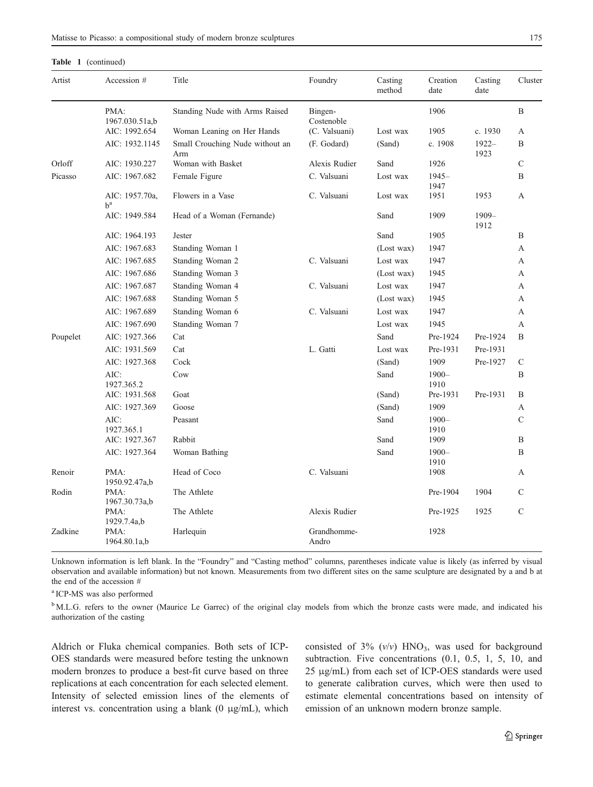| Artist                                 | Accession #             | Title                                  | Foundry               | Casting<br>method | Creation<br>date | Casting<br>date  | Cluster       |
|----------------------------------------|-------------------------|----------------------------------------|-----------------------|-------------------|------------------|------------------|---------------|
|                                        | PMA:<br>1967.030.51a,b  | Standing Nude with Arms Raised         | Bingen-<br>Costenoble |                   | 1906             |                  | B             |
|                                        | AIC: 1992.654           | Woman Leaning on Her Hands             | (C. Valsuani)         | Lost wax          | 1905             | c. 1930          | A             |
|                                        | AIC: 1932.1145          | Small Crouching Nude without an<br>Arm | (F. Godard)           | (Sand)            | c. 1908          | $1922 -$<br>1923 | B             |
| Orloff                                 | AIC: 1930.227           | Woman with Basket                      | Alexis Rudier         | Sand              | 1926             |                  | $\mathsf{C}$  |
| Picasso                                | AIC: 1967.682           | Female Figure                          | C. Valsuani           | Lost wax          | $1945 -$<br>1947 |                  | B             |
|                                        | AIC: 1957.70a,<br>$h^a$ | Flowers in a Vase                      | C. Valsuani           | Lost wax          | 1951             | 1953             | A             |
| Poupelet<br>Renoir<br>Rodin<br>Zadkine | AIC: 1949.584           | Head of a Woman (Fernande)             |                       | Sand              | 1909             | 1909-<br>1912    |               |
|                                        | AIC: 1964.193           | Jester                                 |                       | Sand              | 1905             |                  | B             |
|                                        | AIC: 1967.683           | Standing Woman 1                       |                       | (Lost wax)        | 1947             |                  | A             |
|                                        | AIC: 1967.685           | Standing Woman 2                       | C. Valsuani           | Lost wax          | 1947             |                  | A             |
|                                        | AIC: 1967.686           | Standing Woman 3                       |                       | (Lost wax)        | 1945             |                  | A             |
|                                        | AIC: 1967.687           | Standing Woman 4                       | C. Valsuani           | Lost wax          | 1947             |                  | A             |
|                                        | AIC: 1967.688           | Standing Woman 5                       |                       | (Lost wax)        | 1945             |                  | A             |
|                                        | AIC: 1967.689           | Standing Woman 6                       | C. Valsuani           | Lost wax          | 1947             |                  | A             |
|                                        | AIC: 1967.690           | Standing Woman 7                       |                       | Lost wax          | 1945             |                  | A             |
|                                        | AIC: 1927.366           | Cat                                    |                       | Sand              | Pre-1924         | Pre-1924         | B             |
|                                        | AIC: 1931.569           | Cat                                    | L. Gatti              | Lost wax          | Pre-1931         | Pre-1931         |               |
|                                        | AIC: 1927.368           | Cock                                   |                       | (Sand)            | 1909             | Pre-1927         | $\mathsf{C}$  |
|                                        | AIC:<br>1927.365.2      | Cow                                    |                       | Sand              | $1900 -$<br>1910 |                  | B             |
|                                        | AIC: 1931.568           | Goat                                   |                       | (Sand)            | Pre-1931         | Pre-1931         | B             |
|                                        | AIC: 1927.369           | Goose                                  |                       | (Sand)            | 1909             |                  | А             |
|                                        | AIC:<br>1927.365.1      | Peasant                                |                       | Sand              | $1900 -$<br>1910 |                  | $\mathcal{C}$ |
|                                        | AIC: 1927.367           | Rabbit                                 |                       | Sand              | 1909             |                  | B             |
|                                        | AIC: 1927.364           | Woman Bathing                          |                       | Sand              | $1900 -$<br>1910 |                  | B             |
|                                        | PMA:<br>1950.92.47a,b   | Head of Coco                           | C. Valsuani           |                   | 1908             |                  | A             |
|                                        | PMA:<br>1967.30.73a,b   | The Athlete                            |                       |                   | Pre-1904         | 1904             | $\mathcal{C}$ |
|                                        | PMA:<br>1929.7.4a,b     | The Athlete                            | Alexis Rudier         |                   | Pre-1925         | 1925             | $\mathcal{C}$ |
|                                        | PMA:<br>1964.80.1a,b    | Harlequin                              | Grandhomme-<br>Andro  |                   | 1928             |                  |               |

#### Table 1 (continued)

Unknown information is left blank. In the "Foundry" and "Casting method" columns, parentheses indicate value is likely (as inferred by visual observation and available information) but not known. Measurements from two different sites on the same sculpture are designated by a and b at the end of the accession #

<sup>a</sup> ICP-MS was also performed

<sup>b</sup> M.L.G. refers to the owner (Maurice Le Garrec) of the original clay models from which the bronze casts were made, and indicated his authorization of the casting

Aldrich or Fluka chemical companies. Both sets of ICP-OES standards were measured before testing the unknown modern bronzes to produce a best-fit curve based on three replications at each concentration for each selected element. Intensity of selected emission lines of the elements of interest vs. concentration using a blank (0 μg/mL), which

consisted of  $3\%$  (v/v) HNO<sub>3</sub>, was used for background subtraction. Five concentrations  $(0.1, 0.5, 1, 5, 10,$  and 25 μg/mL) from each set of ICP-OES standards were used to generate calibration curves, which were then used to estimate elemental concentrations based on intensity of emission of an unknown modern bronze sample.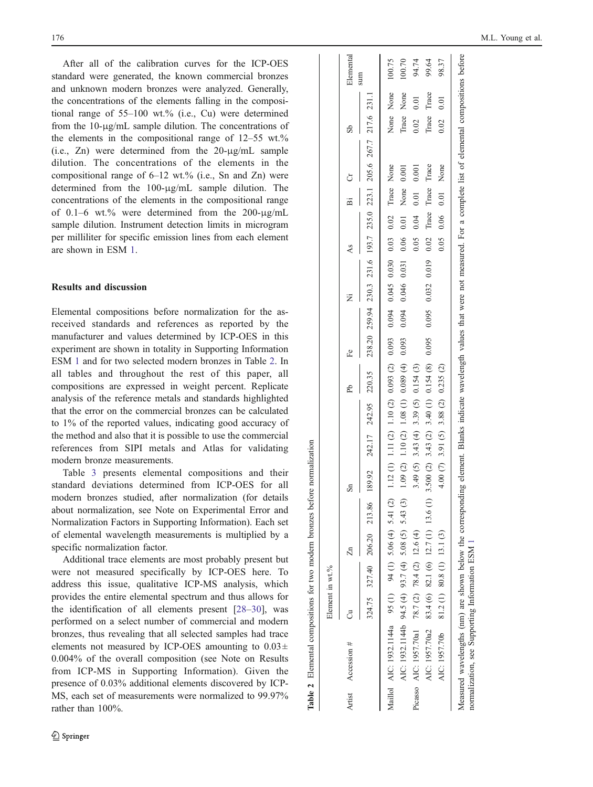<span id="page-5-0"></span>After all of the calibration curves for the ICP-OES standard were generated, the known commercial bronzes and unknown modern bronzes were analyzed. Generally, the concentrations of the elements falling in the compositional range of 55–100 wt.% (i.e., Cu) were determined from the 10- μg/mL sample dilution. The concentrations of the elements in the compositional range of  $12-55$  wt.% (i.e., Zn) were determined from the 20- μg/mL sample dilution. The concentrations of the elements in the compositional range of 6 –12 wt.% (i.e., Sn and Zn) were determined from the 100- μg/mL sample dilution. The concentrations of the elements in the compositional range of 0.1 –6 wt.% were determined from the 200- μg/mL sample dilution. Instrument detection limits in microgram per milliliter for specific emission lines from each element are shown in ESM 1 .

## Results and discussion

Elemental compositions before normalization for the asreceived standards and references as reported by the manufacturer and values determined by ICP-OES in this experiment are shown in totality in Supporting Information ESM 1 and for two selected modern bronzes in Table 2. In all tables and throughout the rest of this paper, all compositions are expressed in weight percent. Replicate analysis of the reference metals and standards highlighted that the error on the commercial bronzes can be calculated to 1% of the reported values, indicating good accuracy of the method and also that it is possible to use the commercial references from SIPI metals and Atlas for validating modern bronze measurements.

Table [3](#page-6-0) presents elemental compositions and their standard deviations determined from ICP-OES for all modern bronzes studied, after normalization (for details about normalization, see Note on Experimental Error and Normalization Factors in Supporting Information). Each set of elemental wavelength measurements is multiplied by a specific normalization factor.

Additional trace elements are most probably present but were not measured specifically by ICP-OES here. To address this issue, qualitative ICP-MS analysis, which provides the entire elemental spectrum and thus allows for the identification of all elements present [[28](#page-13-0) –[30\]](#page-13-0), was performed on a select number of commercial and modern bronzes, thus revealing that all selected samples had trace elements not measured by ICP-OES amounting to  $0.03\pm$ 0.004% of the overall composition (see Note on Results from ICP-MS in Supporting Information). Given the presence of 0.03% additional elements discovered by ICP-MS, each set of measurements were normalized to 99.97% rather than 100%.

|                                                                                                                                                                                                                                        | Element in wt.%             |    |        |  |                                              |    |                                        |  |      |                  |          |                                                                     |    |                |     |           |
|----------------------------------------------------------------------------------------------------------------------------------------------------------------------------------------------------------------------------------------|-----------------------------|----|--------|--|----------------------------------------------|----|----------------------------------------|--|------|------------------|----------|---------------------------------------------------------------------|----|----------------|-----|-----------|
| Artist Accession #                                                                                                                                                                                                                     |                             | Яh | $\sin$ |  | È                                            | £e |                                        |  | As   |                  | Вi<br>Бi |                                                                     | Sb |                |     | Elemental |
|                                                                                                                                                                                                                                        | 324.75 327.40 206.20 213.86 |    |        |  | $189.92$ $242.17$ $242.95$ $220.35$          |    |                                        |  |      |                  |          | 238.20 259.94 230.3 231.6 193.7 235.0 223.1 205.6 267.7 217.6 231.1 |    |                | sum |           |
| Maillol AIC: 1932.1144a 95 (1) 94 (1) 5.06 (4) 5.41 (2)                                                                                                                                                                                |                             |    |        |  | 1.12 (1) 1.11 (2) 1.10 (2) 0.093 (2) 0.093   |    | 0.094 0.045 0.030 0.03 0.02 Trace None |  |      |                  |          |                                                                     |    | None None      |     | 100.75    |
| AIC: 1932.1144b 94.5 (4) 93.7 (4) 5.08 (5) 5.43 (3)                                                                                                                                                                                    |                             |    |        |  | 1.09 (2) 1.10 (2) 1.08 (1) 0.089 (4) 0.093   |    | $0.046$ 0.05 1 0.06 0.01               |  |      |                  | None     | 0.001                                                               |    | None<br>Trace  |     | 100.70    |
| Picasso AIC: 1957.70a1 78.7 (2) 78.4 (2) 12.6 (4)                                                                                                                                                                                      |                             |    |        |  | $3.49(5)$ $3.43(4)$ $3.39(5)$ $0.154(3)$     |    |                                        |  | 0.05 | 0.04             | 0.01     | 0.001                                                               |    | 0.01<br>0.02   |     | 94.74     |
| AIC: 1957.70a2 83.4 (6) 82.1 (6) 12.7 (1) 13.6 (1)                                                                                                                                                                                     |                             |    |        |  | 3.500 (2) 3.43 (2) 3.40 (1) 0.154 (8) 0.095  |    | $0.095$ $0.032$ $0.019$                |  |      | 0.02 Trace Trace |          | Trace                                                               |    | Trace<br>Trace |     | 99.64     |
| AIC: 1957.70b                                                                                                                                                                                                                          | 81.2 (1) 80.8 (1) 13.1 (3)  |    |        |  | 4.00 $(7)$ 3.91 $(5)$ 3.88 $(2)$ 0.235 $(2)$ |    |                                        |  | 0.05 | 0.06 0.01        |          | None                                                                |    | 0.01<br>0.02   |     | 98.37     |
| Measured wavelengths (nm) are shown below the corresponding element. Blanks indicate wavelength values that were not measured. For a complete list of elemental compositions before<br>normalization, see Supporting Information ESM 1 |                             |    |        |  |                                              |    |                                        |  |      |                  |          |                                                                     |    |                |     |           |

before normalization Table 2 Elemental compositions for two modern bronzes before normalization bronzes modern two for compositions Elemental Table 2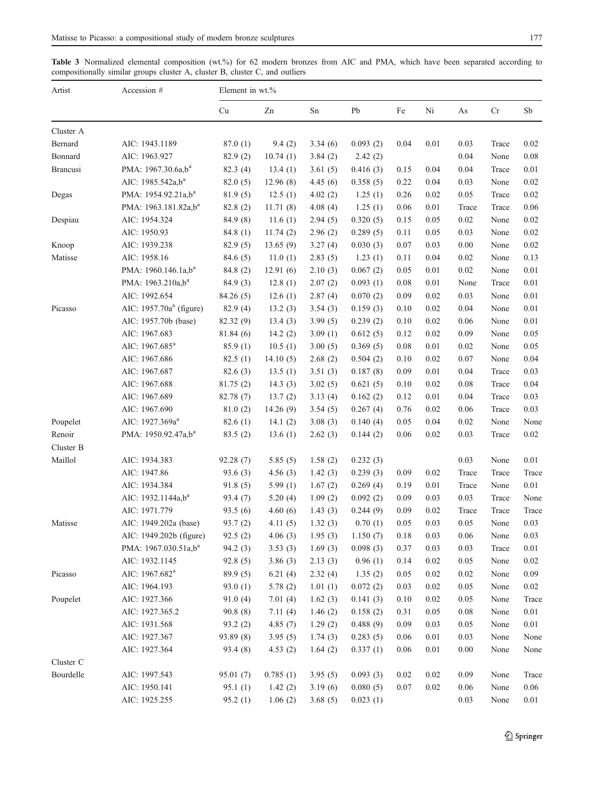<span id="page-6-0"></span>Table 3 Normalized elemental composition (wt.%) for 62 modern bronzes from AIC and PMA, which have been separated according to compositionally similar groups cluster A, cluster B, cluster C, and outliers

| Artist             | Accession #                         | Element in wt.% |            |         |          |      |      |          |       |       |
|--------------------|-------------------------------------|-----------------|------------|---------|----------|------|------|----------|-------|-------|
|                    |                                     | Cu              | Zn         | Sn      | Pb       | Fe   | Ni   | As       | Cr    | Sb    |
| Cluster A          |                                     |                 |            |         |          |      |      |          |       |       |
| Bernard            | AIC: 1943.1189                      | 87.0(1)         | 9.4(2)     | 3.34(6) | 0.093(2) | 0.04 | 0.01 | 0.03     | Trace | 0.02  |
| Bonnard            | AIC: 1963.927                       | 82.9(2)         | 10.74(1)   | 3.84(2) | 2.42(2)  |      |      | 0.04     | None  | 0.08  |
| <b>Brancusi</b>    | PMA: 1967.30.6a,b <sup>a</sup>      | 82.3(4)         | 13.4(1)    | 3.61(5) | 0.416(3) | 0.15 | 0.04 | 0.04     | Trace | 0.01  |
|                    | AIC: 1985.542a,b <sup>a</sup>       | 82.0(5)         | 12.96(8)   | 4.45(6) | 0.358(5) | 0.22 | 0.04 | 0.03     | None  | 0.02  |
| Degas              | PMA: 1954.92.21a,b <sup>a</sup>     | 81.9(5)         | 12.5(1)    | 4.02(2) | 1.25(1)  | 0.26 | 0.02 | 0.05     | Trace | 0.02  |
|                    | PMA: 1963.181.82a,b <sup>a</sup>    | 82.8(2)         | 11.71(8)   | 4.08(4) | 1.25(1)  | 0.06 | 0.01 | Trace    | Trace | 0.06  |
| Despiau            | AIC: 1954.324                       | 84.9 (8)        | 11.6(1)    | 2.94(5) | 0.320(5) | 0.15 | 0.05 | 0.02     | None  | 0.02  |
|                    | AIC: 1950.93                        | 84.8(1)         | 11.74(2)   | 2.96(2) | 0.289(5) | 0.11 | 0.05 | 0.03     | None  | 0.02  |
| Knoop              | AIC: 1939.238                       | 82.9(5)         | 13.65(9)   | 3.27(4) | 0.030(3) | 0.07 | 0.03 | $0.00\,$ | None  | 0.02  |
| Matisse            | AIC: 1958.16                        | 84.6 (5)        | 11.0(1)    | 2.83(5) | 1.23(1)  | 0.11 | 0.04 | 0.02     | None  | 0.13  |
|                    | PMA: 1960.146.1a,b <sup>a</sup>     | 84.8 (2)        | 12.91(6)   | 2.10(3) | 0.067(2) | 0.05 | 0.01 | 0.02     | None  | 0.01  |
|                    | PMA: 1963.210a,b <sup>a</sup>       | 84.9(3)         | 12.8(1)    | 2.07(2) | 0.093(1) | 0.08 | 0.01 | None     | Trace | 0.01  |
|                    | AIC: 1992.654                       | 84.26(5)        | 12.6(1)    | 2.87(4) | 0.070(2) | 0.09 | 0.02 | 0.03     | None  | 0.01  |
| Picasso            | AIC: 1957.70a <sup>a</sup> (figure) | 82.9(4)         | 13.2(3)    | 3.54(3) | 0.159(3) | 0.10 | 0.02 | 0.04     | None  | 0.01  |
|                    | AIC: 1957.70b (base)                | 82.32 (9)       | 13.4(3)    | 3.99(5) | 0.239(2) | 0.10 | 0.02 | 0.06     | None  | 0.01  |
|                    | AIC: 1967.683                       | 81.84 (6)       | 14.2(2)    | 3.09(1) | 0.612(5) | 0.12 | 0.02 | 0.09     | None  | 0.05  |
|                    | AIC: 1967.685 <sup>a</sup>          | 85.9(1)         | 10.5(1)    | 3.00(5) | 0.369(5) | 0.08 | 0.01 | 0.02     | None  | 0.05  |
|                    | AIC: 1967.686                       | 82.5(1)         | 14.10(5)   | 2.68(2) | 0.504(2) | 0.10 | 0.02 | 0.07     | None  | 0.04  |
|                    | AIC: 1967.687                       | 82.6(3)         | 13.5(1)    | 3.51(3) | 0.187(8) | 0.09 | 0.01 | 0.04     | Trace | 0.03  |
|                    | AIC: 1967.688                       | 81.75(2)        | 14.3 $(3)$ | 3.02(5) | 0.621(5) | 0.10 | 0.02 | 0.08     | Trace | 0.04  |
|                    | AIC: 1967.689                       | 82.78 (7)       | 13.7(2)    | 3.13(4) | 0.162(2) | 0.12 | 0.01 | 0.04     | Trace | 0.03  |
|                    | AIC: 1967.690                       | 81.0(2)         | 14.26(9)   | 3.54(5) | 0.267(4) | 0.76 | 0.02 | 0.06     | Trace | 0.03  |
| Poupelet           | AIC: 1927.369aª                     | 82.6(1)         | 14.1(2)    | 3.08(3) | 0.140(4) | 0.05 | 0.04 | 0.02     | None  | None  |
| Renoir             | PMA: 1950.92.47a,b <sup>a</sup>     | 83.5(2)         | 13.6(1)    | 2.62(3) | 0.144(2) | 0.06 | 0.02 | 0.03     | Trace | 0.02  |
| Cluster B          |                                     |                 |            |         |          |      |      |          |       |       |
|                    | AIC: 1934.383                       | 92.28(7)        | 5.85(5)    | 1.58(2) | 0.232(3) |      |      | 0.03     | None  | 0.01  |
| Maillol<br>Matisse | AIC: 1947.86                        | 93.6(3)         | 4.56(3)    | 1.42(3) | 0.239(3) | 0.09 | 0.02 | Trace    | Trace | Trace |
|                    | AIC: 1934.384                       | 91.8(5)         | 5.99(1)    | 1.67(2) | 0.269(4) | 0.19 | 0.01 | Trace    | None  | 0.01  |
|                    | AIC: 1932.1144a,b <sup>a</sup>      | 93.4(7)         | 5.20(4)    | 1.09(2) | 0.092(2) | 0.09 | 0.03 | 0.03     | Trace | None  |
|                    | AIC: 1971.779                       | 93.5(6)         | 4.60(6)    | 1.43(3) | 0.244(9) | 0.09 | 0.02 | Trace    | Trace | Trace |
|                    | AIC: 1949.202a (base)               | 93.7(2)         | 4.11(5)    | 1.32(3) | 0.70(1)  | 0.05 | 0.03 | 0.05     | None  | 0.03  |
|                    | AIC: 1949.202b (figure)             | 92.5(2)         | 4.06(3)    | 1.95(3) | 1.150(7) | 0.18 | 0.03 | 0.06     | None  | 0.03  |
|                    | PMA: 1967.030.51a,b <sup>a</sup>    | 94.2(3)         | 3.53(3)    | 1.69(3) | 0.098(3) | 0.37 | 0.03 | 0.03     | Trace | 0.01  |
|                    | AIC: 1932.1145                      | 92.8(5)         | 3.86(3)    | 2.13(3) | 0.96(1)  | 0.14 | 0.02 | 0.05     | None  | 0.02  |
| Picasso            | AIC: 1967.682 <sup>a</sup>          | 89.9(5)         | 6.21(4)    | 2.32(4) | 1.35(2)  | 0.05 | 0.02 | 0.02     | None  | 0.09  |
|                    | AIC: 1964.193                       | 93.0(1)         | 5.78(2)    | 1.01(1) | 0.072(2) | 0.03 | 0.02 | 0.05     | None  | 0.02  |
| Poupelet           |                                     |                 |            |         |          |      | 0.02 | 0.05     | None  |       |
|                    | AIC: 1927.366                       | 91.0(4)         | 7.01(4)    | 1.62(3) | 0.141(3) | 0.10 |      |          |       | Trace |
|                    | AIC: 1927.365.2                     | 90.8(8)         | 7.11(4)    | 1.46(2) | 0.158(2) | 0.31 | 0.05 | 0.08     | None  | 0.01  |
|                    | AIC: 1931.568                       | 93.2(2)         | 4.85(7)    | 1.29(2) | 0.488(9) | 0.09 | 0.03 | 0.05     | None  | 0.01  |
|                    | AIC: 1927.367                       | 93.89 (8)       | 3.95(5)    | 1.74(3) | 0.283(5) | 0.06 | 0.01 | 0.03     | None  | None  |
|                    | AIC: 1927.364                       | 93.4(8)         | 4.53(2)    | 1.64(2) | 0.337(1) | 0.06 | 0.01 | 0.00     | None  | None  |
| Cluster C          |                                     |                 |            |         |          |      |      |          |       |       |
| Bourdelle          | AIC: 1997.543                       | 95.01(7)        | 0.785(1)   | 3.95(5) | 0.093(3) | 0.02 | 0.02 | 0.09     | None  | Trace |
|                    | AIC: 1950.141                       | 95.1(1)         | 1.42(2)    | 3.19(6) | 0.080(5) | 0.07 | 0.02 | 0.06     | None  | 0.06  |
|                    | AIC: 1925.255                       | 95.2(1)         | 1.06(2)    | 3.68(5) | 0.023(1) |      |      | 0.03     | None  | 0.01  |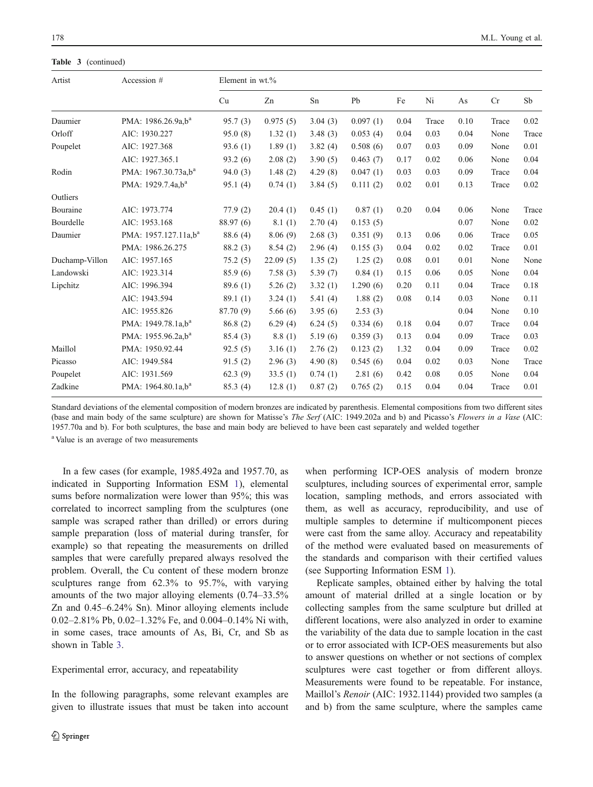## Table 3 (continued)

| Artist<br>Daumier<br>Orloff<br>Poupelet<br>Rodin<br>Outliers<br>Bouraine<br>Bourdelle<br>Daumier<br>Landowski<br>Lipchitz<br>Maillol | Accession #                      | Element in wt.% |          |         |          |      |       |      |       |       |
|--------------------------------------------------------------------------------------------------------------------------------------|----------------------------------|-----------------|----------|---------|----------|------|-------|------|-------|-------|
|                                                                                                                                      |                                  | Cu              | Zn       | Sn      | Pb       | Fe   | Ni    | As   | Cr    | Sb    |
|                                                                                                                                      | PMA: 1986.26.9a,b <sup>a</sup>   | 95.7(3)         | 0.975(5) | 3.04(3) | 0.097(1) | 0.04 | Trace | 0.10 | Trace | 0.02  |
|                                                                                                                                      | AIC: 1930.227                    | 95.0(8)         | 1.32(1)  | 3.48(3) | 0.053(4) | 0.04 | 0.03  | 0.04 | None  | Trace |
|                                                                                                                                      | AIC: 1927.368                    | 93.6(1)         | 1.89(1)  | 3.82(4) | 0.508(6) | 0.07 | 0.03  | 0.09 | None  | 0.01  |
|                                                                                                                                      | AIC: 1927.365.1                  | 93.2(6)         | 2.08(2)  | 3.90(5) | 0.463(7) | 0.17 | 0.02  | 0.06 | None  | 0.04  |
|                                                                                                                                      | PMA: 1967.30.73a,b <sup>a</sup>  | 94.0(3)         | 1.48(2)  | 4.29(8) | 0.047(1) | 0.03 | 0.03  | 0.09 | Trace | 0.04  |
|                                                                                                                                      | PMA: 1929.7.4a,b <sup>a</sup>    | 95.1(4)         | 0.74(1)  | 3.84(5) | 0.111(2) | 0.02 | 0.01  | 0.13 | Trace | 0.02  |
|                                                                                                                                      |                                  |                 |          |         |          |      |       |      |       |       |
|                                                                                                                                      | AIC: 1973.774                    | 77.9(2)         | 20.4(1)  | 0.45(1) | 0.87(1)  | 0.20 | 0.04  | 0.06 | None  | Trace |
|                                                                                                                                      | AIC: 1953.168                    | 88.97 (6)       | 8.1(1)   | 2.70(4) | 0.153(5) |      |       | 0.07 | None  | 0.02  |
|                                                                                                                                      | PMA: 1957.127.11a,b <sup>a</sup> | 88.6 (4)        | 8.06(9)  | 2.68(3) | 0.351(9) | 0.13 | 0.06  | 0.06 | Trace | 0.05  |
|                                                                                                                                      | PMA: 1986.26.275                 | 88.2(3)         | 8.54(2)  | 2.96(4) | 0.155(3) | 0.04 | 0.02  | 0.02 | Trace | 0.01  |
| Duchamp-Villon                                                                                                                       | AIC: 1957.165                    | 75.2(5)         | 22.09(5) | 1.35(2) | 1.25(2)  | 0.08 | 0.01  | 0.01 | None  | None  |
|                                                                                                                                      | AIC: 1923.314                    | 85.9(6)         | 7.58(3)  | 5.39(7) | 0.84(1)  | 0.15 | 0.06  | 0.05 | None  | 0.04  |
|                                                                                                                                      | AIC: 1996.394                    | 89.6(1)         | 5.26(2)  | 3.32(1) | 1.290(6) | 0.20 | 0.11  | 0.04 | Trace | 0.18  |
|                                                                                                                                      | AIC: 1943.594                    | 89.1(1)         | 3.24(1)  | 5.41(4) | 1.88(2)  | 0.08 | 0.14  | 0.03 | None  | 0.11  |
|                                                                                                                                      | AIC: 1955.826                    | 87.70 (9)       | 5.66(6)  | 3.95(6) | 2.53(3)  |      |       | 0.04 | None  | 0.10  |
|                                                                                                                                      | PMA: 1949.78.1a,b <sup>a</sup>   | 86.8(2)         | 6.29(4)  | 6.24(5) | 0.334(6) | 0.18 | 0.04  | 0.07 | Trace | 0.04  |
|                                                                                                                                      | PMA: 1955.96.2a,b <sup>a</sup>   | 85.4(3)         | 8.8(1)   | 5.19(6) | 0.359(3) | 0.13 | 0.04  | 0.09 | Trace | 0.03  |
|                                                                                                                                      | PMA: 1950.92.44                  | 92.5(5)         | 3.16(1)  | 2.76(2) | 0.123(2) | 1.32 | 0.04  | 0.09 | Trace | 0.02  |
| Picasso                                                                                                                              | AIC: 1949.584                    | 91.5(2)         | 2.96(3)  | 4.90(8) | 0.545(6) | 0.04 | 0.02  | 0.03 | None  | Trace |
| Poupelet                                                                                                                             | AIC: 1931.569                    | 62.3(9)         | 33.5(1)  | 0.74(1) | 2.81(6)  | 0.42 | 0.08  | 0.05 | None  | 0.04  |
| Zadkine                                                                                                                              | PMA: $1964.80.1a,b^a$            | 85.3(4)         | 12.8(1)  | 0.87(2) | 0.765(2) | 0.15 | 0.04  | 0.04 | Trace | 0.01  |

Standard deviations of the elemental composition of modern bronzes are indicated by parenthesis. Elemental compositions from two different sites (base and main body of the same sculpture) are shown for Matisse's The Serf (AIC: 1949.202a and b) and Picasso's Flowers in a Vase (AIC: 1957.70a and b). For both sculptures, the base and main body are believed to have been cast separately and welded together

<sup>a</sup> Value is an average of two measurements

In a few cases (for example, 1985.492a and 1957.70, as indicated in Supporting Information ESM 1), elemental sums before normalization were lower than 95%; this was correlated to incorrect sampling from the sculptures (one sample was scraped rather than drilled) or errors during sample preparation (loss of material during transfer, for example) so that repeating the measurements on drilled samples that were carefully prepared always resolved the problem. Overall, the Cu content of these modern bronze sculptures range from 62.3% to 95.7%, with varying amounts of the two major alloying elements (0.74–33.5% Zn and 0.45–6.24% Sn). Minor alloying elements include 0.02–2.81% Pb, 0.02–1.32% Fe, and 0.004–0.14% Ni with, in some cases, trace amounts of As, Bi, Cr, and Sb as shown in Table [3](#page-6-0).

## Experimental error, accuracy, and repeatability

In the following paragraphs, some relevant examples are given to illustrate issues that must be taken into account when performing ICP-OES analysis of modern bronze sculptures, including sources of experimental error, sample location, sampling methods, and errors associated with them, as well as accuracy, reproducibility, and use of multiple samples to determine if multicomponent pieces were cast from the same alloy. Accuracy and repeatability of the method were evaluated based on measurements of the standards and comparison with their certified values (see Supporting Information ESM 1).

Replicate samples, obtained either by halving the total amount of material drilled at a single location or by collecting samples from the same sculpture but drilled at different locations, were also analyzed in order to examine the variability of the data due to sample location in the cast or to error associated with ICP-OES measurements but also to answer questions on whether or not sections of complex sculptures were cast together or from different alloys. Measurements were found to be repeatable. For instance, Maillol's Renoir (AIC: 1932.1144) provided two samples (a and b) from the same sculpture, where the samples came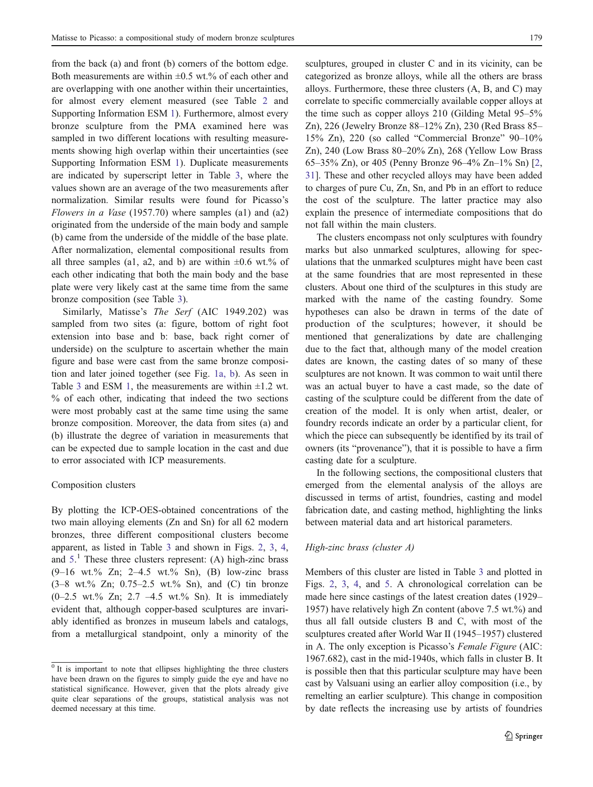from the back (a) and front (b) corners of the bottom edge. Both measurements are within  $\pm 0.5$  wt.% of each other and are overlapping with one another within their uncertainties, for almost every element measured (see Table [2](#page-5-0) and Supporting Information ESM 1). Furthermore, almost every bronze sculpture from the PMA examined here was sampled in two different locations with resulting measurements showing high overlap within their uncertainties (see Supporting Information ESM 1). Duplicate measurements are indicated by superscript letter in Table [3](#page-6-0), where the values shown are an average of the two measurements after normalization. Similar results were found for Picasso's Flowers in a Vase  $(1957.70)$  where samples  $(a1)$  and  $(a2)$ originated from the underside of the main body and sample (b) came from the underside of the middle of the base plate. After normalization, elemental compositional results from all three samples (a1, a2, and b) are within  $\pm 0.6$  wt.% of each other indicating that both the main body and the base plate were very likely cast at the same time from the same bronze composition (see Table [3](#page-6-0)).

Similarly, Matisse's The Serf (AIC 1949.202) was sampled from two sites (a: figure, bottom of right foot extension into base and b: base, back right corner of underside) on the sculpture to ascertain whether the main figure and base were cast from the same bronze composition and later joined together (see Fig. [1a, b\)](#page-9-0). As seen in Table [3](#page-6-0) and ESM 1, the measurements are within  $\pm 1.2$  wt. % of each other, indicating that indeed the two sections were most probably cast at the same time using the same bronze composition. Moreover, the data from sites (a) and (b) illustrate the degree of variation in measurements that can be expected due to sample location in the cast and due to error associated with ICP measurements.

## Composition clusters

By plotting the ICP-OES-obtained concentrations of the two main alloying elements (Zn and Sn) for all 62 modern bronzes, three different compositional clusters become apparent, as listed in Table [3](#page-6-0) and shown in Figs. [2](#page-9-0), [3,](#page-10-0) [4](#page-10-0), and  $5<sup>1</sup>$ . These three clusters represent: (A) high-zinc brass (9–16 wt.% Zn; 2–4.5 wt.% Sn), (B) low-zinc brass (3–8 wt.% Zn; 0.75–2.5 wt.% Sn), and (C) tin bronze  $(0-2.5 \text{ wt.}\% \text{ Zn}; 2.7 -4.5 \text{ wt.}\% \text{ Sn})$ . It is immediately evident that, although copper-based sculptures are invariably identified as bronzes in museum labels and catalogs, from a metallurgical standpoint, only a minority of the

sculptures, grouped in cluster C and in its vicinity, can be categorized as bronze alloys, while all the others are brass alloys. Furthermore, these three clusters (A, B, and C) may correlate to specific commercially available copper alloys at the time such as copper alloys 210 (Gilding Metal 95–5% Zn), 226 (Jewelry Bronze 88–12% Zn), 230 (Red Brass 85– 15% Zn), 220 (so called "Commercial Bronze" 90–10% Zn), 240 (Low Brass 80–20% Zn), 268 (Yellow Low Brass 65–35% Zn), or 405 (Penny Bronze 96–4% Zn–1% Sn) [\[2](#page-13-0), [31\]](#page-13-0). These and other recycled alloys may have been added to charges of pure Cu, Zn, Sn, and Pb in an effort to reduce the cost of the sculpture. The latter practice may also explain the presence of intermediate compositions that do not fall within the main clusters.

The clusters encompass not only sculptures with foundry marks but also unmarked sculptures, allowing for speculations that the unmarked sculptures might have been cast at the same foundries that are most represented in these clusters. About one third of the sculptures in this study are marked with the name of the casting foundry. Some hypotheses can also be drawn in terms of the date of production of the sculptures; however, it should be mentioned that generalizations by date are challenging due to the fact that, although many of the model creation dates are known, the casting dates of so many of these sculptures are not known. It was common to wait until there was an actual buyer to have a cast made, so the date of casting of the sculpture could be different from the date of creation of the model. It is only when artist, dealer, or foundry records indicate an order by a particular client, for which the piece can subsequently be identified by its trail of owners (its "provenance"), that it is possible to have a firm casting date for a sculpture.

In the following sections, the compositional clusters that emerged from the elemental analysis of the alloys are discussed in terms of artist, foundries, casting and model fabrication date, and casting method, highlighting the links between material data and art historical parameters.

## High-zinc brass (cluster A)

Members of this cluster are listed in Table [3](#page-6-0) and plotted in Figs. [2](#page-9-0), [3](#page-10-0), [4](#page-10-0), and [5.](#page-11-0) A chronological correlation can be made here since castings of the latest creation dates (1929– 1957) have relatively high Zn content (above 7.5 wt.%) and thus all fall outside clusters B and C, with most of the sculptures created after World War II (1945–1957) clustered in A. The only exception is Picasso's Female Figure (AIC: 1967.682), cast in the mid-1940s, which falls in cluster B. It is possible then that this particular sculpture may have been cast by Valsuani using an earlier alloy composition (i.e., by remelting an earlier sculpture). This change in composition by date reflects the increasing use by artists of foundries

 $<sup>0</sup>$  It is important to note that ellipses highlighting the three clusters</sup> have been drawn on the figures to simply guide the eye and have no statistical significance. However, given that the plots already give quite clear separations of the groups, statistical analysis was not deemed necessary at this time.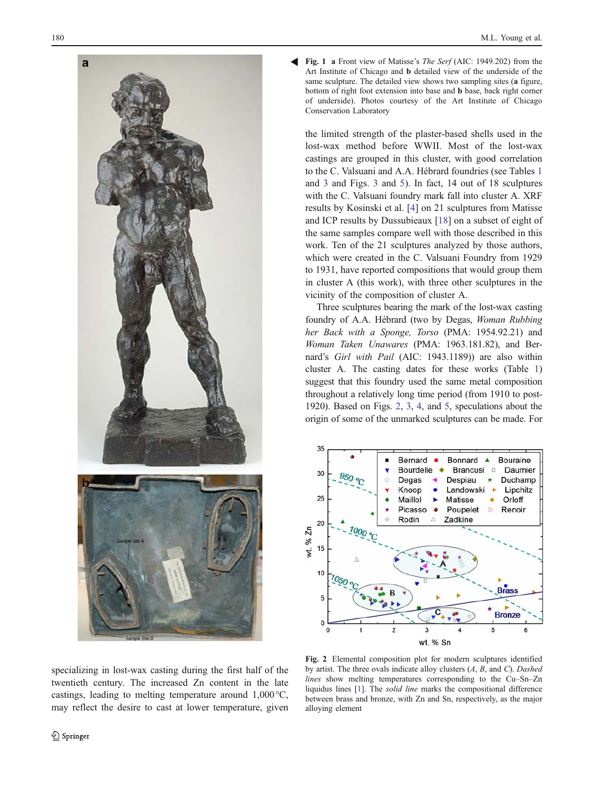<span id="page-9-0"></span>

specializing in lost-wax casting during the first half of the twentieth century. The increased Zn content in the late castings, leading to melting temperature around 1,000°C, may reflect the desire to cast at lower temperature, given

Fig. 1 a Front view of Matisse's The Serf (AIC: 1949.202) from the Art Institute of Chicago and b detailed view of the underside of the same sculpture. The detailed view shows two sampling sites (a figure, bottom of right foot extension into base and b base, back right corner of underside). Photos courtesy of the Art Institute of Chicago Conservation Laboratory  $\blacktriangleleft$ 

the limited strength of the plaster-based shells used in the lost-wax method before WWII. Most of the lost-wax castings are grouped in this cluster, with good correlation to the C. Valsuani and A.A. Hébrard foundries (see Tables [1](#page-3-0) and [3](#page-6-0) and Figs. [3](#page-10-0) and [5\)](#page-11-0). In fact, 14 out of 18 sculptures with the C. Valsuani foundry mark fall into cluster A. XRF results by Kosinski et al. [\[4](#page-13-0)] on 21 sculptures from Matisse and ICP results by Dussubieaux [\[18](#page-13-0)] on a subset of eight of the same samples compare well with those described in this work. Ten of the 21 sculptures analyzed by those authors, which were created in the C. Valsuani Foundry from 1929 to 1931, have reported compositions that would group them in cluster A (this work), with three other sculptures in the vicinity of the composition of cluster A.

Three sculptures bearing the mark of the lost-wax casting foundry of A.A. Hébrard (two by Degas, Woman Rubbing her Back with a Sponge, Torso (PMA: 1954.92.21) and Woman Taken Unawares (PMA: 1963.181.82), and Bernard's Girl with Pail (AIC: 1943.1189)) are also within cluster A. The casting dates for these works (Table [1\)](#page-3-0) suggest that this foundry used the same metal composition throughout a relatively long time period (from 1910 to post-1920). Based on Figs. 2, [3](#page-10-0), [4,](#page-10-0) and [5,](#page-11-0) speculations about the origin of some of the unmarked sculptures can be made. For



Fig. 2 Elemental composition plot for modern sculptures identified by artist. The three ovals indicate alloy clusters (A, B, and C). Dashed lines show melting temperatures corresponding to the Cu–Sn–Zn liquidus lines [[1](#page-13-0)]. The solid line marks the compositional difference between brass and bronze, with Zn and Sn, respectively, as the major alloying element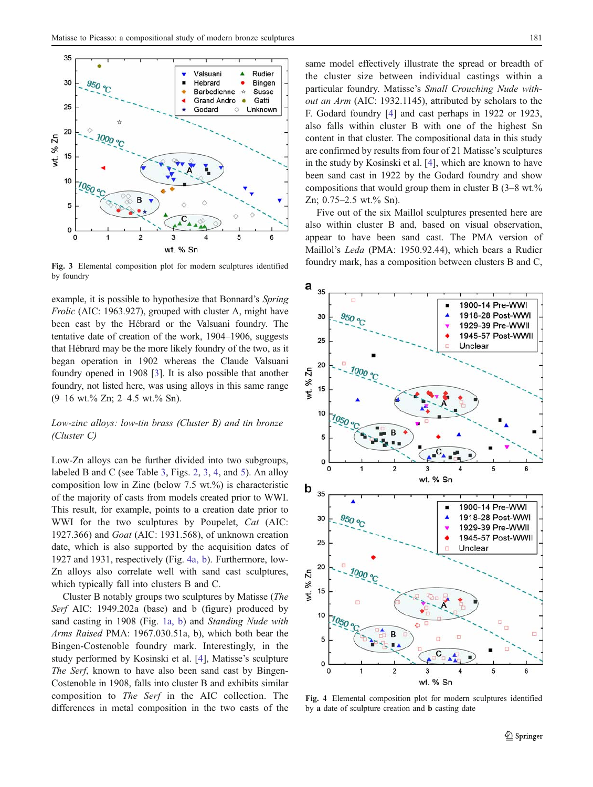<span id="page-10-0"></span>

Fig. 3 Elemental composition plot for modern sculptures identified by foundry

example, it is possible to hypothesize that Bonnard's Spring Frolic (AIC: 1963.927), grouped with cluster A, might have been cast by the Hébrard or the Valsuani foundry. The tentative date of creation of the work, 1904–1906, suggests that Hébrard may be the more likely foundry of the two, as it began operation in 1902 whereas the Claude Valsuani foundry opened in 1908 [\[3\]](#page-13-0). It is also possible that another foundry, not listed here, was using alloys in this same range (9–16 wt.% Zn; 2–4.5 wt.% Sn).

## Low-zinc alloys: low-tin brass (Cluster B) and tin bronze (Cluster C)

Low-Zn alloys can be further divided into two subgroups, labeled B and C (see Table [3,](#page-6-0) Figs. [2](#page-9-0), 3, 4, and [5\)](#page-11-0). An alloy composition low in Zinc (below  $7.5 \text{ wt.} %$ ) is characteristic of the majority of casts from models created prior to WWI. This result, for example, points to a creation date prior to WWI for the two sculptures by Poupelet, Cat (AIC: 1927.366) and Goat (AIC: 1931.568), of unknown creation date, which is also supported by the acquisition dates of 1927 and 1931, respectively (Fig. 4a, b). Furthermore, low-Zn alloys also correlate well with sand cast sculptures, which typically fall into clusters B and C.

Cluster B notably groups two sculptures by Matisse (The Serf AIC: 1949.202a (base) and b (figure) produced by sand casting in 1908 (Fig. [1a, b\)](#page-9-0) and Standing Nude with Arms Raised PMA: 1967.030.51a, b), which both bear the Bingen-Costenoble foundry mark. Interestingly, in the study performed by Kosinski et al. [\[4](#page-13-0)], Matisse's sculpture The Serf, known to have also been sand cast by Bingen-Costenoble in 1908, falls into cluster B and exhibits similar composition to The Serf in the AIC collection. The differences in metal composition in the two casts of the same model effectively illustrate the spread or breadth of the cluster size between individual castings within a particular foundry. Matisse's Small Crouching Nude without an Arm (AIC: 1932.1145), attributed by scholars to the F. Godard foundry [\[4](#page-13-0)] and cast perhaps in 1922 or 1923, also falls within cluster B with one of the highest Sn content in that cluster. The compositional data in this study are confirmed by results from four of 21 Matisse's sculptures in the study by Kosinski et al. [[4\]](#page-13-0), which are known to have been sand cast in 1922 by the Godard foundry and show compositions that would group them in cluster B (3–8 wt.% Zn; 0.75–2.5 wt.% Sn).

Five out of the six Maillol sculptures presented here are also within cluster B and, based on visual observation, appear to have been sand cast. The PMA version of Maillol's Leda (PMA: 1950.92.44), which bears a Rudier foundry mark, has a composition between clusters B and C,



Fig. 4 Elemental composition plot for modern sculptures identified by a date of sculpture creation and b casting date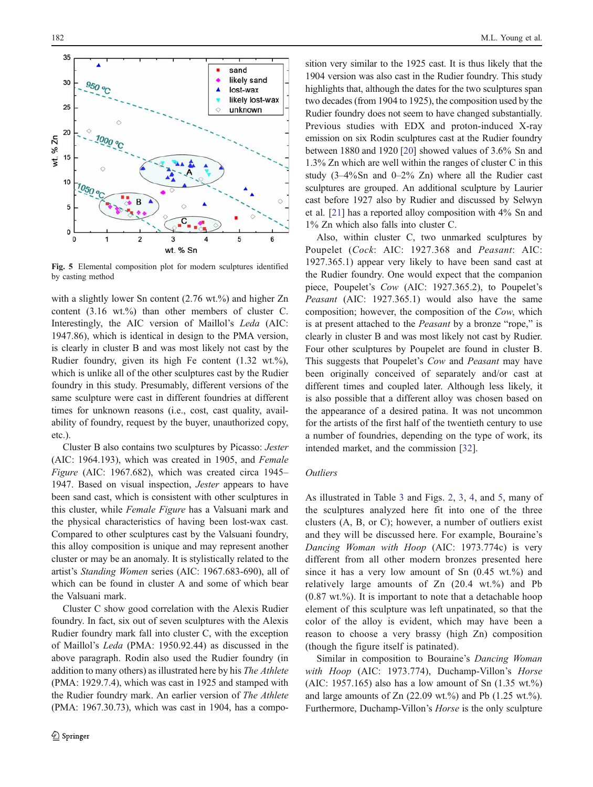<span id="page-11-0"></span>

Fig. 5 Elemental composition plot for modern sculptures identified by casting method

with a slightly lower Sn content (2.76 wt.%) and higher Zn content  $(3.16 \text{ wt.})$ % than other members of cluster C. Interestingly, the AIC version of Maillol's Leda (AIC: 1947.86), which is identical in design to the PMA version, is clearly in cluster B and was most likely not cast by the Rudier foundry, given its high Fe content  $(1.32 \text{ wt.}\%)$ , which is unlike all of the other sculptures cast by the Rudier foundry in this study. Presumably, different versions of the same sculpture were cast in different foundries at different times for unknown reasons (i.e., cost, cast quality, availability of foundry, request by the buyer, unauthorized copy, etc.).

Cluster B also contains two sculptures by Picasso: Jester (AIC: 1964.193), which was created in 1905, and Female Figure (AIC: 1967.682), which was created circa 1945– 1947. Based on visual inspection, Jester appears to have been sand cast, which is consistent with other sculptures in this cluster, while Female Figure has a Valsuani mark and the physical characteristics of having been lost-wax cast. Compared to other sculptures cast by the Valsuani foundry, this alloy composition is unique and may represent another cluster or may be an anomaly. It is stylistically related to the artist's Standing Women series (AIC: 1967.683-690), all of which can be found in cluster A and some of which bear the Valsuani mark.

Cluster C show good correlation with the Alexis Rudier foundry. In fact, six out of seven sculptures with the Alexis Rudier foundry mark fall into cluster C, with the exception of Maillol's Leda (PMA: 1950.92.44) as discussed in the above paragraph. Rodin also used the Rudier foundry (in addition to many others) as illustrated here by his The Athlete (PMA: 1929.7.4), which was cast in 1925 and stamped with the Rudier foundry mark. An earlier version of The Athlete (PMA: 1967.30.73), which was cast in 1904, has a composition very similar to the 1925 cast. It is thus likely that the 1904 version was also cast in the Rudier foundry. This study highlights that, although the dates for the two sculptures span two decades (from 1904 to 1925), the composition used by the Rudier foundry does not seem to have changed substantially. Previous studies with EDX and proton-induced X-ray emission on six Rodin sculptures cast at the Rudier foundry between 1880 and 1920 [\[20](#page-13-0)] showed values of 3.6% Sn and 1.3% Zn which are well within the ranges of cluster C in this study (3–4%Sn and 0–2% Zn) where all the Rudier cast sculptures are grouped. An additional sculpture by Laurier cast before 1927 also by Rudier and discussed by Selwyn et al. [\[21](#page-13-0)] has a reported alloy composition with 4% Sn and 1% Zn which also falls into cluster C.

Also, within cluster C, two unmarked sculptures by Poupelet (Cock: AIC: 1927.368 and Peasant: AIC: 1927.365.1) appear very likely to have been sand cast at the Rudier foundry. One would expect that the companion piece, Poupelet's Cow (AIC: 1927.365.2), to Poupelet's Peasant (AIC: 1927.365.1) would also have the same composition; however, the composition of the Cow, which is at present attached to the Peasant by a bronze "rope," is clearly in cluster B and was most likely not cast by Rudier. Four other sculptures by Poupelet are found in cluster B. This suggests that Poupelet's Cow and Peasant may have been originally conceived of separately and/or cast at different times and coupled later. Although less likely, it is also possible that a different alloy was chosen based on the appearance of a desired patina. It was not uncommon for the artists of the first half of the twentieth century to use a number of foundries, depending on the type of work, its intended market, and the commission [[32\]](#page-13-0).

## **Outliers**

As illustrated in Table [3](#page-6-0) and Figs. [2](#page-9-0), [3](#page-10-0), [4,](#page-10-0) and 5, many of the sculptures analyzed here fit into one of the three clusters (A, B, or C); however, a number of outliers exist and they will be discussed here. For example, Bouraine's Dancing Woman with Hoop (AIC: 1973.774c) is very different from all other modern bronzes presented here since it has a very low amount of Sn  $(0.45 \text{ wt.})\%$  and relatively large amounts of Zn (20.4 wt.%) and Pb (0.87 wt.%). It is important to note that a detachable hoop element of this sculpture was left unpatinated, so that the color of the alloy is evident, which may have been a reason to choose a very brassy (high Zn) composition (though the figure itself is patinated).

Similar in composition to Bouraine's Dancing Woman with Hoop (AIC: 1973.774), Duchamp-Villon's Horse (AIC: 1957.165) also has a low amount of Sn (1.35 wt.%) and large amounts of Zn  $(22.09 \text{ wt.})\%$  and Pb  $(1.25 \text{ wt.})\%$ . Furthermore, Duchamp-Villon's Horse is the only sculpture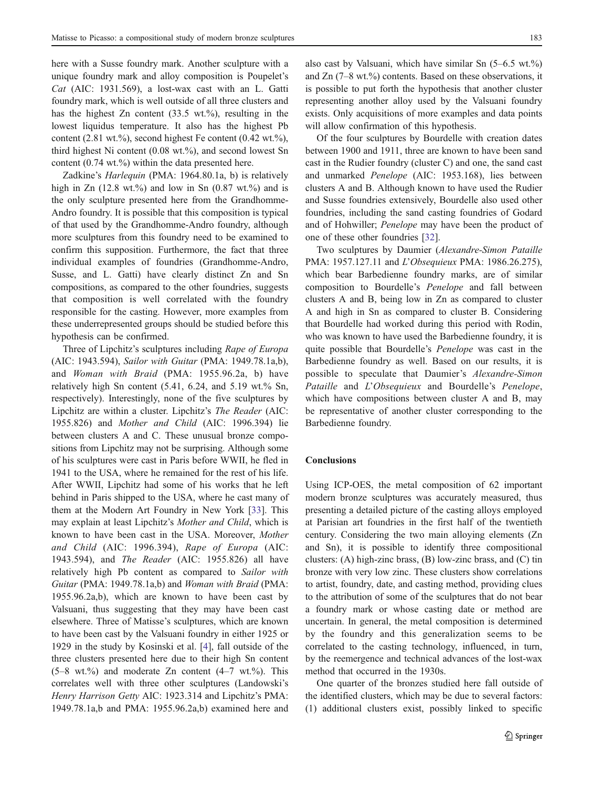here with a Susse foundry mark. Another sculpture with a unique foundry mark and alloy composition is Poupelet's Cat (AIC: 1931.569), a lost-wax cast with an L. Gatti foundry mark, which is well outside of all three clusters and has the highest Zn content (33.5 wt.%), resulting in the lowest liquidus temperature. It also has the highest Pb content  $(2.81 \text{ wt.}\%)$ , second highest Fe content  $(0.42 \text{ wt.}\%)$ , third highest Ni content (0.08 wt.%), and second lowest Sn content  $(0.74 \text{ wt.})$ % within the data presented here.

Zadkine's *Harlequin* (PMA: 1964.80.1a, b) is relatively high in Zn  $(12.8 \text{ wt.})$ % and low in Sn  $(0.87 \text{ wt.})$ % and is the only sculpture presented here from the Grandhomme-Andro foundry. It is possible that this composition is typical of that used by the Grandhomme-Andro foundry, although more sculptures from this foundry need to be examined to confirm this supposition. Furthermore, the fact that three individual examples of foundries (Grandhomme-Andro, Susse, and L. Gatti) have clearly distinct Zn and Sn compositions, as compared to the other foundries, suggests that composition is well correlated with the foundry responsible for the casting. However, more examples from these underrepresented groups should be studied before this hypothesis can be confirmed.

Three of Lipchitz's sculptures including Rape of Europa (AIC: 1943.594), Sailor with Guitar (PMA: 1949.78.1a,b), and Woman with Braid (PMA: 1955.96.2a, b) have relatively high Sn content  $(5.41, 6.24,$  and  $5.19$  wt.% Sn, respectively). Interestingly, none of the five sculptures by Lipchitz are within a cluster. Lipchitz's The Reader (AIC: 1955.826) and Mother and Child (AIC: 1996.394) lie between clusters A and C. These unusual bronze compositions from Lipchitz may not be surprising. Although some of his sculptures were cast in Paris before WWII, he fled in 1941 to the USA, where he remained for the rest of his life. After WWII, Lipchitz had some of his works that he left behind in Paris shipped to the USA, where he cast many of them at the Modern Art Foundry in New York [[33\]](#page-13-0). This may explain at least Lipchitz's Mother and Child, which is known to have been cast in the USA. Moreover, Mother and Child (AIC: 1996.394), Rape of Europa (AIC: 1943.594), and The Reader (AIC: 1955.826) all have relatively high Pb content as compared to Sailor with Guitar (PMA: 1949.78.1a,b) and Woman with Braid (PMA: 1955.96.2a,b), which are known to have been cast by Valsuani, thus suggesting that they may have been cast elsewhere. Three of Matisse's sculptures, which are known to have been cast by the Valsuani foundry in either 1925 or 1929 in the study by Kosinski et al. [\[4](#page-13-0)], fall outside of the three clusters presented here due to their high Sn content  $(5-8 \text{ wt.})\%$  and moderate Zn content  $(4-7 \text{ wt.})\%$ . This correlates well with three other sculptures (Landowski's Henry Harrison Getty AIC: 1923.314 and Lipchitz's PMA: 1949.78.1a,b and PMA: 1955.96.2a,b) examined here and also cast by Valsuani, which have similar Sn (5–6.5 wt.%) and  $Zn$  (7–8 wt.%) contents. Based on these observations, it is possible to put forth the hypothesis that another cluster representing another alloy used by the Valsuani foundry exists. Only acquisitions of more examples and data points will allow confirmation of this hypothesis.

Of the four sculptures by Bourdelle with creation dates between 1900 and 1911, three are known to have been sand cast in the Rudier foundry (cluster C) and one, the sand cast and unmarked Penelope (AIC: 1953.168), lies between clusters A and B. Although known to have used the Rudier and Susse foundries extensively, Bourdelle also used other foundries, including the sand casting foundries of Godard and of Hohwiller; Penelope may have been the product of one of these other foundries [[32\]](#page-13-0).

Two sculptures by Daumier (Alexandre-Simon Pataille PMA: 1957.127.11 and *L'Obsequieux* PMA: 1986.26.275), which bear Barbedienne foundry marks, are of similar composition to Bourdelle's Penelope and fall between clusters A and B, being low in Zn as compared to cluster A and high in Sn as compared to cluster B. Considering that Bourdelle had worked during this period with Rodin, who was known to have used the Barbedienne foundry, it is quite possible that Bourdelle's Penelope was cast in the Barbedienne foundry as well. Based on our results, it is possible to speculate that Daumier's Alexandre-Simon Pataille and L'Obsequieux and Bourdelle's Penelope, which have compositions between cluster A and B, may be representative of another cluster corresponding to the Barbedienne foundry.

## **Conclusions**

Using ICP-OES, the metal composition of 62 important modern bronze sculptures was accurately measured, thus presenting a detailed picture of the casting alloys employed at Parisian art foundries in the first half of the twentieth century. Considering the two main alloying elements (Zn and Sn), it is possible to identify three compositional clusters: (A) high-zinc brass, (B) low-zinc brass, and (C) tin bronze with very low zinc. These clusters show correlations to artist, foundry, date, and casting method, providing clues to the attribution of some of the sculptures that do not bear a foundry mark or whose casting date or method are uncertain. In general, the metal composition is determined by the foundry and this generalization seems to be correlated to the casting technology, influenced, in turn, by the reemergence and technical advances of the lost-wax method that occurred in the 1930s.

One quarter of the bronzes studied here fall outside of the identified clusters, which may be due to several factors: (1) additional clusters exist, possibly linked to specific